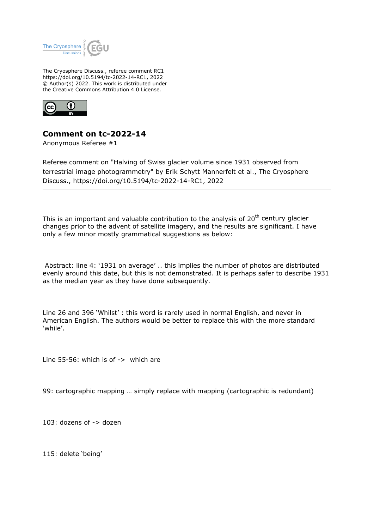

The Cryosphere Discuss., referee comment RC1 https://doi.org/10.5194/tc-2022-14-RC1, 2022 © Author(s) 2022. This work is distributed under the Creative Commons Attribution 4.0 License.



## **Comment on tc-2022-14**

Anonymous Referee #1

Referee comment on "Halving of Swiss glacier volume since 1931 observed from terrestrial image photogrammetry" by Erik Schytt Mannerfelt et al., The Cryosphere Discuss., https://doi.org/10.5194/tc-2022-14-RC1, 2022

This is an important and valuable contribution to the analysis of  $20<sup>th</sup>$  century glacier changes prior to the advent of satellite imagery, and the results are significant. I have only a few minor mostly grammatical suggestions as below:

 Abstract: line 4: '1931 on average' .. this implies the number of photos are distributed evenly around this date, but this is not demonstrated. It is perhaps safer to describe 1931 as the median year as they have done subsequently.

Line 26 and 396 'Whilst' : this word is rarely used in normal English, and never in American English. The authors would be better to replace this with the more standard 'while'.

Line  $55-56$ : which is of  $\rightarrow$  which are

99: cartographic mapping … simply replace with mapping (cartographic is redundant)

103: dozens of -> dozen

115: delete 'being'